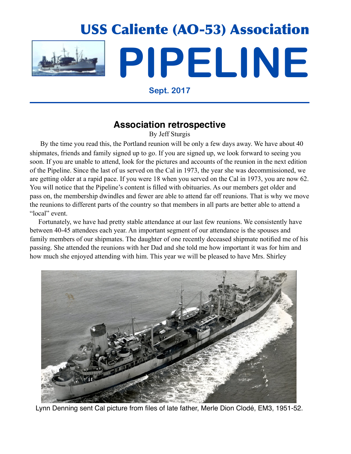

**Sept. 2017**

# **Association retrospective**

By Jeff Sturgis

 By the time you read this, the Portland reunion will be only a few days away. We have about 40 shipmates, friends and family signed up to go. If you are signed up, we look forward to seeing you soon. If you are unable to attend, look for the pictures and accounts of the reunion in the next edition of the Pipeline. Since the last of us served on the Cal in 1973, the year she was decommissioned, we are getting older at a rapid pace. If you were 18 when you served on the Cal in 1973, you are now 62. You will notice that the Pipeline's content is filled with obituaries. As our members get older and pass on, the membership dwindles and fewer are able to attend far off reunions. That is why we move the reunions to different parts of the country so that members in all parts are better able to attend a "local" event.

 Fortunately, we have had pretty stable attendance at our last few reunions. We consistently have between 40-45 attendees each year. An important segment of our attendance is the spouses and family members of our shipmates. The daughter of one recently deceased shipmate notified me of his passing. She attended the reunions with her Dad and she told me how important it was for him and how much she enjoyed attending with him. This year we will be pleased to have Mrs. Shirley



Lynn Denning sent Cal picture from files of late father, Merle Dion Clodé, EM3, 1951-52.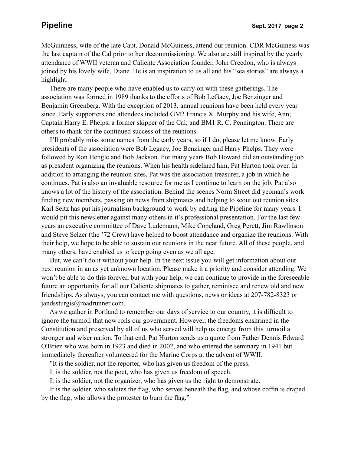McGuinness, wife of the late Capt. Donald McGuiness, attend our reunion. CDR McGuiness was the last captain of the Cal prior to her decommissioning. We also are still inspired by the yearly attendance of WWII veteran and Caliente Association founder, John Creedon, who is always joined by his lovely wife, Diane. He is an inspiration to us all and his "sea stories" are always a highlight.

 There are many people who have enabled us to carry on with these gatherings. The association was formed in 1989 thanks to the efforts of Bob LeGacy, Joe Benzinger and Benjamin Greenberg. With the exception of 2013, annual reunions have been held every year since. Early supporters and attendees included GM2 Francis X. Murphy and his wife, Ann; Captain Harry E. Phelps, a former skipper of the Cal; and BM1 R. C. Pennington. There are others to thank for the continued success of the reunions.

 I'll probably miss some names from the early years, so if I do, please let me know. Early presidents of the association were Bob Legacy, Joe Benzinger and Harry Phelps. They were followed by Ron Hengle and Bob Jackson. For many years Bob Howard did an outstanding job as president organizing the reunions. When his health sidelined him, Pat Hurton took over. In addition to arranging the reunion sites, Pat was the association treasurer, a job in which he continues. Pat is also an invaluable resource for me as I continue to learn on the job. Pat also knows a lot of the history of the association. Behind the scenes Norm Street did yeoman's work finding new members, passing on news from shipmates and helping to scout out reunion sites. Karl Seitz has put his journalism background to work by editing the Pipeline for many years. I would pit this newsletter against many others in it's professional presentation. For the last few years an executive committee of Dave Ludemann, Mike Copeland, Greg Perett, Jim Rawlinson and Steve Selzer (the '72 Crew) have helped to boost attendance and organize the reunions. With their help, we hope to be able to sustain our reunions in the near future. All of these people, and many others, have enabled us to keep going even as we all age.

 But, we can't do it without your help. In the next issue you will get information about our next reunion in an as yet unknown location. Please make it a priority and consider attending. We won't be able to do this forever, but with your help, we can continue to provide in the foreseeable future an opportunity for all our Caliente shipmates to gather, reminisce and renew old and new friendships. As always, you can contact me with questions, news or ideas at 207-782-8323 or jandssturgis@roadrunner.com.

 As we gather in Portland to remember our days of service to our country, it is difficult to ignore the turmoil that now roils our government. However, the freedoms enshrined in the Constitution and preserved by all of us who served will help us emerge from this turmoil a stronger and wiser nation. To that end, Pat Hurton sends us a quote from Father Dennis Edward O'Brien who was born in 1923 and died in 2002, and who entered the seminary in 1941 but immediately thereafter volunteered for the Marine Corps at the advent of WWII.

"It is the soldier, not the reporter, who has given us freedom of the press.

It is the soldier, not the poet, who has given us freedom of speech.

It is the soldier, not the organizer, who has given us the right to demonstrate.

 It is the soldier, who salutes the flag, who serves beneath the flag, and whose coffin is draped by the flag, who allows the protester to burn the flag."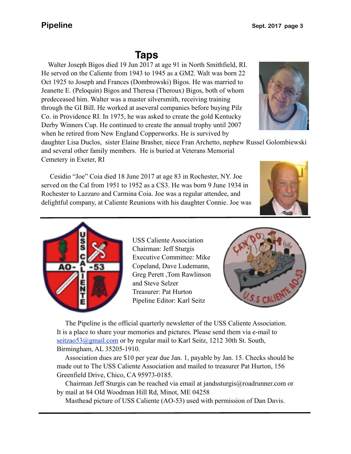# **Taps**

 predeceased him. Walter was a master silversmith, receiving training Walter Joseph Bigos died 19 Jun 2017 at age 91 in North Smithfield, RI. He served on the Caliente from 1943 to 1945 as a GM2. Walt was born 22 Oct 1925 to Joseph and Frances (Dombrowski) Bigos. He was married to Jeanette E. (Peloquin) Bigos and Theresa (Theroux) Bigos, both of whom through the GI Bill. He worked at aseveral companies before buying Pilz Co. in Providence RI. In 1975, he was asked to create the gold Kentucky Derby Winners Cup. He continued to create the annual trophy until 2007 when he retired from New England Copperworks. He is survived by

daughter Lisa Duclos, sister Elaine Brasher, niece Fran Archetto, nephew Russel Golombiewski and several other family members. He is buried at Veterans Memorial Cemetery in Exeter, RI

 Cesidio "Joe" Coia died 18 June 2017 at age 83 in Rochester, NY. Joe served on the Cal from 1951 to 1952 as a CS3. He was born 9 June 1934 in Rochester to Lazzaro and Carmina Coia. Joe was a regular attendee, and delightful company, at Caliente Reunions with his daughter Connie. Joe was



 The Pipeline is the official quarterly newsletter of the USS Caliente Association. It is a place to share your memories and pictures. Please send them via e-mail to seitzao53@gmail.com or by regular mail to Karl Seitz, 1212 30th St. South, Birmingham, AL 35205-1910.

 Association dues are \$10 per year due Jan. 1, payable by Jan. 15. Checks should be made out to The USS Caliente Association and mailed to treasurer Pat Hurton, 156 Greenfield Drive, Chico, CA 95973-0185.

 Chairman Jeff Sturgis can be reached via email at jandssturgis@roadrunner.com or by mail at 84 Old Woodman Hill Rd, Minot, ME 04258

Masthead picture of USS Caliente (AO-53) used with permission of Dan Davis.





USS Caliente Association Chairman: Jeff Sturgis Executive Committee: Mike Copeland, Dave Ludemann, Greg Perett ,Tom Rawlinson and Steve Selzer Treasurer: Pat Hurton Pipeline Editor: Karl Seitz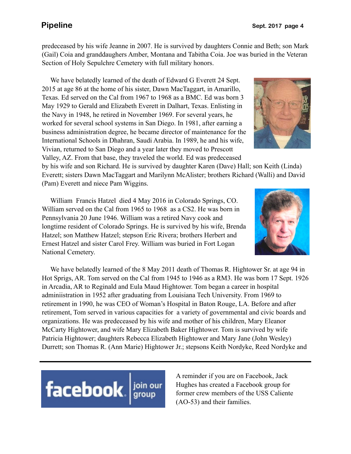predeceased by his wife Jeanne in 2007. He is survived by daughters Connie and Beth; son Mark (Gail) Coia and granddaughers Amber, Montana and Tabitha Coia. Joe was buried in the Veteran Section of Holy Sepulchre Cemetery with full military honors.

 We have belatedly learned of the death of Edward G Everett 24 Sept. 2015 at age 86 at the home of his sister, Dawn MacTaggart, in Amarillo, Texas. Ed served on the Cal from 1967 to 1968 as a BMC. Ed was born 3 May 1929 to Gerald and Elizabeth Everett in Dalhart, Texas. Enlisting in the Navy in 1948, he retired in November 1969. For several years, he worked for several school systems in San Diego. In 1981, after earning a business administration degree, he became director of maintenance for the International Schools in Dhahran, Saudi Arabia. In 1989, he and his wife, Vivian, returned to San Diego and a year later they moved to Prescott Valley, AZ. From that base, they traveled the world. Ed was predeceased

by his wife and son Richard. He is survived by daughter Karen (Dave) Hall; son Keith (Linda) Everett; sisters Dawn MacTaggart and Marilynn McAlister; brothers Richard (Walli) and David (Pam) Everett and niece Pam Wiggins.

 William Francis Hatzel died 4 May 2016 in Colorado Springs, CO. William served on the Cal from 1965 to 1968 as a CS2. He was born in Pennsylvania 20 June 1946. William was a retired Navy cook and longtime resident of Colorado Springs. He is survived by his wife, Brenda Hatzel; son Matthew Hatzel; stepson Eric Rivera; brothers Herbert and Ernest Hatzel and sister Carol Frey. William was buried in Fort Logan National Cemetery.

 We have belatedly learned of the 8 May 2011 death of Thomas R. Hightower Sr. at age 94 in Hot Sprigs, AR. Tom served on the Cal from 1945 to 1946 as a RM3. He was born 17 Sept. 1926 in Arcadia, AR to Reginald and Eula Maud Hightower. Tom began a career in hospital adminiistration in 1952 after graduating from Louisiana Tech University. From 1969 to retirement in 1990, he was CEO of Woman's Hospital in Baton Rouge, LA. Before and after retirement, Tom served in various capacities for a variety of governmental and civic boards and organizations. He was predeceased by his wife and mother of his children, Mary Eleanor McCarty Hightower, and wife Mary Elizabeth Baker Hightower. Tom is survived by wife Patricia Hightower; daughters Rebecca Elizabeth Hightower and Mary Jane (John Wesley) Durrett; son Thomas R. (Ann Marie) Hightower Jr.; stepsons Keith Nordyke, Reed Nordyke and



A reminder if you are on Facebook, Jack Hughes has created a Facebook group for former crew members of the USS Caliente (AO-53) and their families.



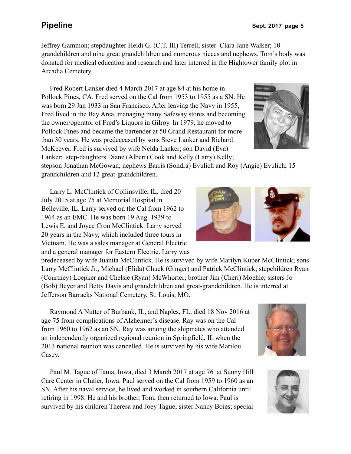Jeffrey Gammon; stepdaughter Heidi G. (C.T. III) Terrell; sister Clara Jane Walker; 10 grandchildren and nine great grandchildren and numerous nieces and nephews. Tom's body was donated for medical education and research and later interred in the Hightower family plot in Arcadia Cemetery.

 Fred Robert Lanker died 4 March 2017 at age 84 at his home in Pollock Pines, CA. Fred served on the Cal from 1953 to 1955 as a SN. He was born 29 Jan 1933 in San Francisco. After leaving the Navy in 1955, Fred lived in the Bay Area, managing many Safeway stores and becoming the owner/operator of Fred's Liquors in Gilroy. In 1979, he moved to Pollock Pines and became the bartender at 50 Grand Restaurant for more than 30 years. He was predeceased by sons Steve Lanker and Richard McKeever. Fred is survived by wife Nelda Lanker; son David (Eva) Lanker; step-daughters Diane (Albert) Cook and Kelly (Larry) Kelly;



stepson Jonathan McGowan; nephews Barris (Sondra) Evulich and Roy (Angie) Evulich; 15 grandchildren and 12 great-grandchildren.

 Larry L. McClintick of Collinsville, IL, died 20 July 2015 at age 75 at Memorial Hospital in Belleville, IL. Larry served on the Cal from 1962 to 1964 as an EMC. He was born 19 Aug. 1939 to Lewis E. and Joyce Cron McClintick. Larry served 20 years in the Navy, which included three tours in Vietnam. He was a sales manager at General Electric and a general manager for Eastern Electric. Larry was

predeceased by wife Juanita McClintick. He is survived by wife Marilyn Kuper McClintick; sons Larry McClintick Jr., Michael (Elida) Chuck (Ginger) and Patrick McClintick; stepchildren Ryan (Courtney) Loepker and Chelsie (Ryan) McWhorter; brother Jim (Cheri) Moehle; sisters Jo (Bob) Beyer and Betty Davis and grandchildren and great-grandchildren. He is interred at Jefferson Barracks National Cemetery, St. Louis, MO.

 Raymond A Nutter of Burbank, IL, and Naples, FL, died 18 Nov 2016 at age 75 from complications of Alzheimer's disease. Ray was on the Cal from 1960 to 1962 as an SN. Ray was among the shipmates who attended an independently organized regional reunion in Springfield, IL when the 2013 national reunion was cancelled. He is survived by his wife Marilou Casey.

 Paul M. Tague of Tama, Iowa, died 3 March 2017 at age 76 at Sunny Hill Care Center in Clutier, Iowa. Paul served on the Cal from 1959 to 1960 as an SN. After his naval service, he lived and worked in southern California until retiring in 1998. He and his brother, Tom, then returned to Iowa. Paul is survived by his children Theresa and Joey Tague; sister Nancy Boies; special





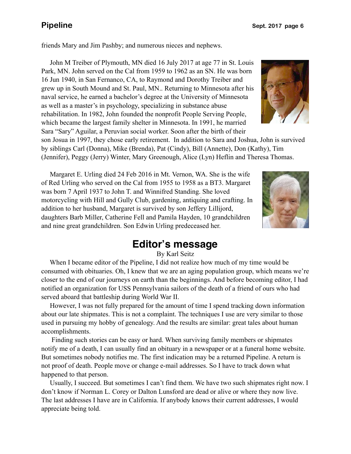friends Mary and Jim Pashby; and numerous nieces and nephews.

 John M Treiber of Plymouth, MN died 16 July 2017 at age 77 in St. Louis Park, MN. John served on the Cal from 1959 to 1962 as an SN. He was born 16 Jun 1940, in San Fernanco, CA, to Raymond and Dorothy Treiber and grew up in South Mound and St. Paul, MN.. Returning to Minnesota after his naval service, he earned a bachelor's degree at the University of Minnesota as well as a master's in psychology, specializing in substance abuse rehabilitation. In 1982, John founded the nonprofit People Serving People, which became the largest family shelter in Minnesota. In 1991, he married Sara "Sary" Aguilar, a Peruvian social worker. Soon after the birth of their



son Josua in 1997, they chose early retirement. In addition to Sara and Joshua, John is survived by siblings Carl (Donna), Mike (Brenda), Pat (Cindy), Bill (Annette), Don (Kathy), Tim (Jennifer), Peggy (Jerry) Winter, Mary Greenough, Alice (Lyn) Heflin and Theresa Thomas.

 Margaret E. Urling died 24 Feb 2016 in Mt. Vernon, WA. She is the wife of Red Urling who served on the Cal from 1955 to 1958 as a BT3. Margaret was born 7 April 1937 to John T. and Winnifred Standing. She loved motorcycling with Hill and Gully Club, gardening, antiquing and crafting. In addition to her husband, Margaret is survived by son Jeffery Lillijord, daughters Barb Miller, Catherine Fell and Pamila Hayden, 10 grandchildren and nine great grandchildren. Son Edwin Urling predeceased her.



# **Editor's message**

By Karl Seitz

 When I became editor of the Pipeline, I did not realize how much of my time would be consumed with obituaries. Oh, I knew that we are an aging population group, which means we're closer to the end of our journeys on earth than the beginnings. And before becoming editor, I had notified an organization for USS Pennsylvania sailors of the death of a friend of ours who had served aboard that battleship during World War II.

 However, I was not fully prepared for the amount of time I spend tracking down information about our late shipmates. This is not a complaint. The techniques I use are very similar to those used in pursuing my hobby of genealogy. And the results are similar: great tales about human accomplishments.

 Finding such stories can be easy or hard. When surviving family members or shipmates notify me of a death, I can usually find an obituary in a newspaper or at a funeral home website. But sometimes nobody notifies me. The first indication may be a returned Pipeline. A return is not proof of death. People move or change e-mail addresses. So I have to track down what happened to that person.

 Usually, I succeed. But sometimes I can't find them. We have two such shipmates right now. I don't know if Norman L. Corey or Dalton Lunsford are dead or alive or where they now live. The last addresses I have are in California. If anybody knows their current addresses, I would appreciate being told.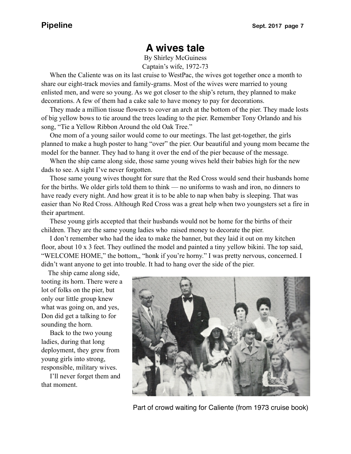# **A wives tale**

By Shirley McGuiness Captain's wife, 1972-73

 When the Caliente was on its last cruise to WestPac, the wives got together once a month to share our eight-track movies and family-grams. Most of the wives were married to young enlisted men, and were so young. As we got closer to the ship's return, they planned to make decorations. A few of them had a cake sale to have money to pay for decorations.

 They made a million tissue flowers to cover an arch at the bottom of the pier. They made losts of big yellow bows to tie around the trees leading to the pier. Remember Tony Orlando and his song, "Tie a Yellow Ribbon Around the old Oak Tree."

 One mom of a young sailor would come to our meetings. The last get-together, the girls planned to make a hugh poster to hang "over" the pier. Our beautiful and young mom became the model for the banner. They had to hang it over the end of the pier because of the message.

 When the ship came along side, those same young wives held their babies high for the new dads to see. A sight I've never forgotten.

 Those same young wives thought for sure that the Red Cross would send their husbands home for the births. We older girls told them to think — no uniforms to wash and iron, no dinners to have ready every night. And how great it is to be able to nap when baby is sleeping. That was easier than No Red Cross. Although Red Cross was a great help when two youngsters set a fire in their apartment.

 These young girls accepted that their husbands would not be home for the births of their children. They are the same young ladies who raised money to decorate the pier.

 I don't remember who had the idea to make the banner, but they laid it out on my kitchen floor, about 10 x 3 feet. They outlined the model and painted a tiny yellow bikini. The top said, "WELCOME HOME," the bottom,, "honk if you're horny." I was pretty nervous, concerned. I didn't want anyone to get into trouble. It had to hang over the side of the pier.

The ship came along side,

tooting its horn. There were a lot of folks on the pier, but only our little group knew what was going on, and yes, Don did get a talking to for sounding the horn.

 Back to the two young ladies, during that long deployment, they grew from young girls into strong, responsible, military wives.

 I'll never forget them and that moment.



Part of crowd waiting for Caliente (from 1973 cruise book)